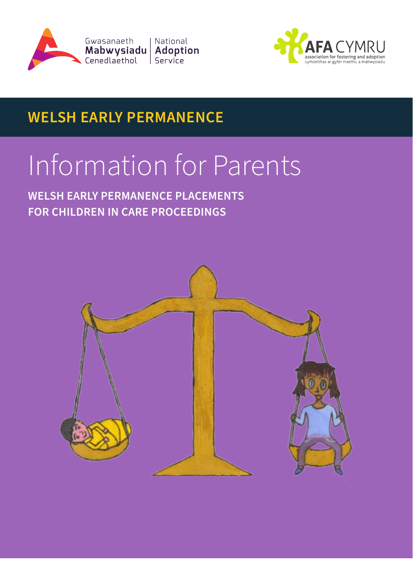



## **WELSH EARLY PERMANENCE**

# Information for Parents

**WELSH EARLY PERMANENCE PLACEMENTS FOR CHILDREN IN CARE PROCEEDINGS**

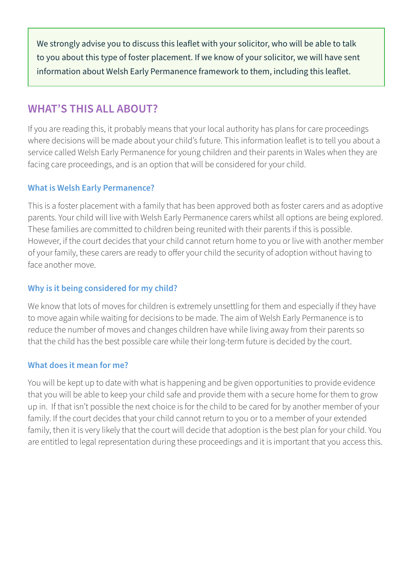We strongly advise you to discuss this leaflet with your solicitor, who will be able to talk to you about this type of foster placement. If we know of your solicitor, we will have sent information about Welsh Early Permanence framework to them, including this leaflet.

### **WHAT'S THIS ALL ABOUT?**

If you are reading this, it probably means that your local authority has plans for care proceedings where decisions will be made about your child's future. This information leaflet is to tell you about a service called Welsh Early Permanence for young children and their parents in Wales when they are facing care proceedings, and is an option that will be considered for your child.

#### **What is Welsh Early Permanence?**

This is a foster placement with a family that has been approved both as foster carers and as adoptive parents. Your child will live with Welsh Early Permanence carers whilst all options are being explored. These families are committed to children being reunited with their parents if this is possible. However, if the court decides that your child cannot return home to you or live with another member of your family, these carers are ready to offer your child the security of adoption without having to face another move.

#### **Why is it being considered for my child?**

We know that lots of moves for children is extremely unsettling for them and especially if they have to move again while waiting for decisions to be made. The aim of Welsh Early Permanence is to reduce the number of moves and changes children have while living away from their parents so that the child has the best possible care while their long-term future is decided by the court.

#### **What does it mean for me?**

You will be kept up to date with what is happening and be given opportunities to provide evidence that you will be able to keep your child safe and provide them with a secure home for them to grow up in. If that isn't possible the next choice is for the child to be cared for by another member of your family. If the court decides that your child cannot return to you or to a member of your extended family, then it is very likely that the court will decide that adoption is the best plan for your child. You are entitled to legal representation during these proceedings and it is important that you access this.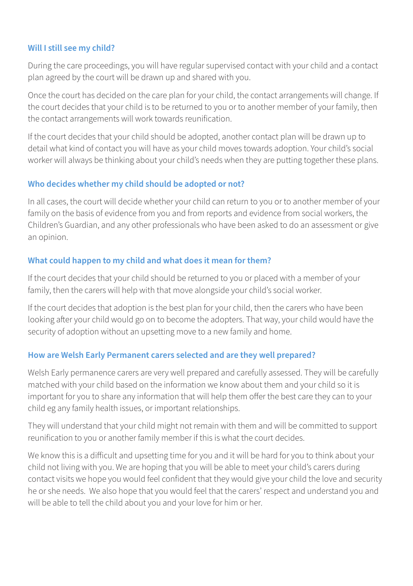#### **Will I still see my child?**

During the care proceedings, you will have regular supervised contact with your child and a contact plan agreed by the court will be drawn up and shared with you.

Once the court has decided on the care plan for your child, the contact arrangements will change. If the court decides that your child is to be returned to you or to another member of your family, then the contact arrangements will work towards reunification.

If the court decides that your child should be adopted, another contact plan will be drawn up to detail what kind of contact you will have as your child moves towards adoption. Your child's social worker will always be thinking about your child's needs when they are putting together these plans.

#### **Who decides whether my child should be adopted or not?**

In all cases, the court will decide whether your child can return to you or to another member of your family on the basis of evidence from you and from reports and evidence from social workers, the Children's Guardian, and any other professionals who have been asked to do an assessment or give an opinion.

#### **What could happen to my child and what does it mean for them?**

If the court decides that your child should be returned to you or placed with a member of your family, then the carers will help with that move alongside your child's social worker.

If the court decides that adoption is the best plan for your child, then the carers who have been looking after your child would go on to become the adopters. That way, your child would have the security of adoption without an upsetting move to a new family and home.

#### **How are Welsh Early Permanent carers selected and are they well prepared?**

Welsh Early permanence carers are very well prepared and carefully assessed. They will be carefully matched with your child based on the information we know about them and your child so it is important for you to share any information that will help them offer the best care they can to your child eg any family health issues, or important relationships.

They will understand that your child might not remain with them and will be committed to support reunification to you or another family member if this is what the court decides.

We know this is a difficult and upsetting time for you and it will be hard for you to think about your child not living with you. We are hoping that you will be able to meet your child's carers during contact visits we hope you would feel confident that they would give your child the love and security he or she needs. We also hope that you would feel that the carers' respect and understand you and will be able to tell the child about you and your love for him or her.